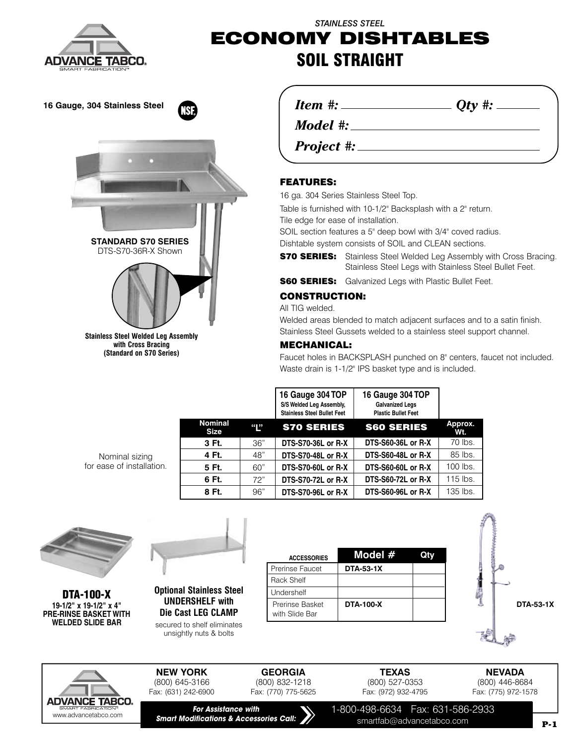

**16 Gauge, 304 Stainless Steel**

*STAINLESS STEEL* **ECONOMY DISHTABLES SOIL STRAIGHT**

*Item #: Qty #:*

*Model #:*

*Project #:*

# **FEATURES:**

16 ga. 304 Series Stainless Steel Top.

Table is furnished with 10-1/2" Backsplash with a 2" return.

Tile edge for ease of installation.

SOIL section features a 5" deep bowl with 3/4" coved radius.

Dishtable system consists of SOIL and CLEAN sections.

**S70 SERIES:** Stainless Steel Welded Leg Assembly with Cross Bracing. Stainless Steel Legs with Stainless Steel Bullet Feet.

**S60 SERIES:** Galvanized Legs with Plastic Bullet Feet.

## **CONSTRUCTION:**

All TIG welded.

Welded areas blended to match adjacent surfaces and to a satin finish. Stainless Steel Gussets welded to a stainless steel support channel.

### **MECHANICAL:**

Faucet holes in BACKSPLASH punched on 8" centers, faucet not included. Waste drain is 1-1/2" IPS basket type and is included.

|      |                               |                  | 16 Gauge 304 TOP<br>S/S Welded Leg Assembly,<br><b>Stainless Steel Bullet Feet</b> | 16 Gauge 304 TOP<br><b>Galvanized Legs</b><br><b>Plastic Bullet Feet</b> |                |
|------|-------------------------------|------------------|------------------------------------------------------------------------------------|--------------------------------------------------------------------------|----------------|
|      | <b>Nominal</b><br><b>Size</b> | $\mathfrak{a}_1$ | <b>S70 SERIES</b>                                                                  | <b>S60 SERIES</b>                                                        | Approx.<br>Wt. |
|      | 3 Ft.                         | 36"              | <b>DTS-S70-36L or R-X</b>                                                          | DTS-S60-36L or R-X                                                       | 70 lbs.        |
|      | 4 Ft.                         | 48"              | <b>DTS-S70-48L or R-X</b>                                                          | DTS-S60-48L or R-X                                                       | 85 lbs.        |
| ion. | 5 Ft.                         | 60"              | DTS-S70-60L or R-X                                                                 | DTS-S60-60L or R-X                                                       | 100 lbs.       |
|      | 6 Ft.                         | 72"              | <b>DTS-S70-72L or R-X</b>                                                          | DTS-S60-72L or R-X                                                       | 115 lbs.       |
|      | 8 Ft.                         | 96"              | DTS-S70-96L or R-X                                                                 | <b>DTS-S60-96L or R-X</b>                                                | 135 lbs.       |

Nominal sizing for ease of installat

**STANDARD S70 SERIES** DTS-S70-36R-X Shown

**Stainless Steel Welded Leg Assembly with Cross Bracing (Standard on S70 Series)**



**DTA-100-X 19-1/2" x 19-1/2" x 4" PRE-RINSE BASKET WITH WELDED SLIDE BAR**



#### **Optional Stainless Steel UNDERSHELF with Die Cast LEG CLAMP** secured to shelf eliminates

unsightly nuts & bolts







**NEW YORK GEORGIA TEXAS NEVADA**<br>(800) 645-3166 (800) 832-1218 (800) 527-0353 (800) 446-8684 (800) 645-3166 (800) 832-1218 (800) 527-0353 (800) 446-8684

Fax: (972) 932-4795